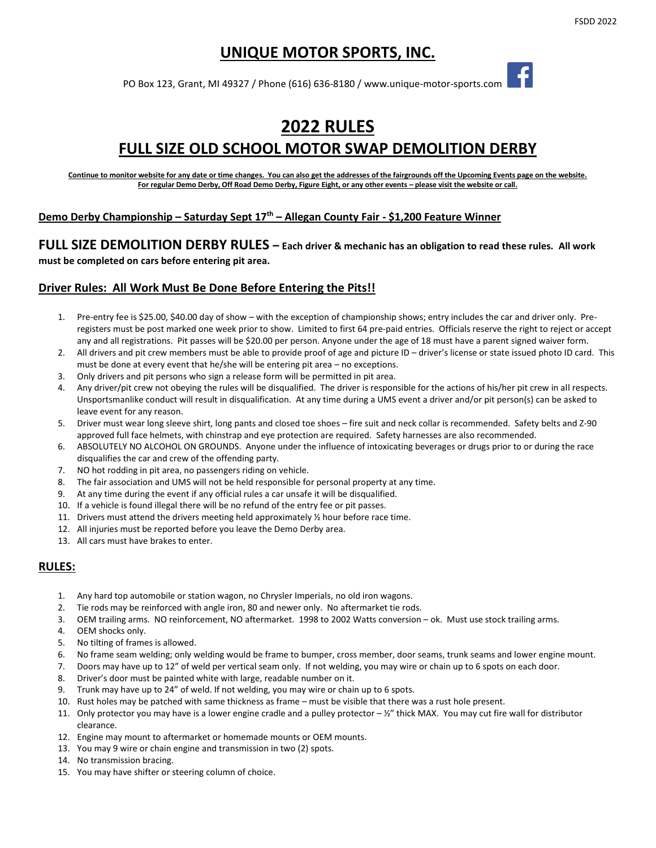# **UNIQUE MOTOR SPORTS, INC.**

PO Box 123, Grant, MI 49327 / Phone (616) 636-8180 / [www.unique-motor-sports.com](http://www.unique-motor-sports.com/)

# **2022 RULES FULL SIZE OLD SCHOOL MOTOR SWAP DEMOLITION DERBY**

Continue to monitor website for any date or time changes. You can also get the addresses of the fairgrounds off the Upcoming Events page on the website. **For regular Demo Derby, Off Road Demo Derby, Figure Eight, or any other events – please visit the website or call.**

#### **Demo Derby Championship – Saturday Sept 17 th – Allegan County Fair - \$1,200 Feature Winner**

**FULL SIZE DEMOLITION DERBY RULES – Each driver & mechanic has an obligation to read these rules. All work must be completed on cars before entering pit area.**

## **Driver Rules: All Work Must Be Done Before Entering the Pits!!**

- 1. Pre-entry fee is \$25.00, \$40.00 day of show with the exception of championship shows; entry includes the car and driver only. Preregisters must be post marked one week prior to show. Limited to first 64 pre-paid entries. Officials reserve the right to reject or accept any and all registrations. Pit passes will be \$20.00 per person. Anyone under the age of 18 must have a parent signed waiver form.
- 2. All drivers and pit crew members must be able to provide proof of age and picture ID driver's license or state issued photo ID card. This must be done at every event that he/she will be entering pit area – no exceptions.
- 3. Only drivers and pit persons who sign a release form will be permitted in pit area.
- 4. Any driver/pit crew not obeying the rules will be disqualified. The driver is responsible for the actions of his/her pit crew in all respects. Unsportsmanlike conduct will result in disqualification. At any time during a UMS event a driver and/or pit person(s) can be asked to leave event for any reason.
- 5. Driver must wear long sleeve shirt, long pants and closed toe shoes fire suit and neck collar is recommended. Safety belts and Z-90 approved full face helmets, with chinstrap and eye protection are required. Safety harnesses are also recommended.
- 6. ABSOLUTELY NO ALCOHOL ON GROUNDS. Anyone under the influence of intoxicating beverages or drugs prior to or during the race disqualifies the car and crew of the offending party.
- 7. NO hot rodding in pit area, no passengers riding on vehicle.
- 8. The fair association and UMS will not be held responsible for personal property at any time.
- 9. At any time during the event if any official rules a car unsafe it will be disqualified.
- 10. If a vehicle is found illegal there will be no refund of the entry fee or pit passes.
- 11. Drivers must attend the drivers meeting held approximately  $\frac{1}{2}$  hour before race time.
- 12. All injuries must be reported before you leave the Demo Derby area.
- 13. All cars must have brakes to enter.

## **RULES:**

- 1. Any hard top automobile or station wagon, no Chrysler Imperials, no old iron wagons.
- 2. Tie rods may be reinforced with angle iron, 80 and newer only. No aftermarket tie rods.
- 3. OEM trailing arms. NO reinforcement, NO aftermarket. 1998 to 2002 Watts conversion ok. Must use stock trailing arms.
- 4. OEM shocks only.
- 5. No tilting of frames is allowed.
- 6. No frame seam welding; only welding would be frame to bumper, cross member, door seams, trunk seams and lower engine mount.
- 7. Doors may have up to 12" of weld per vertical seam only. If not welding, you may wire or chain up to 6 spots on each door.
- 8. Driver's door must be painted white with large, readable number on it.
- 9. Trunk may have up to 24" of weld. If not welding, you may wire or chain up to 6 spots.
- 10. Rust holes may be patched with same thickness as frame must be visible that there was a rust hole present.
- 11. Only protector you may have is a lower engine cradle and a pulley protector  $-$  1/2" thick MAX. You may cut fire wall for distributor clearance.
- 12. Engine may mount to aftermarket or homemade mounts or OEM mounts.
- 13. You may 9 wire or chain engine and transmission in two (2) spots.
- 14. No transmission bracing.
- 15. You may have shifter or steering column of choice.